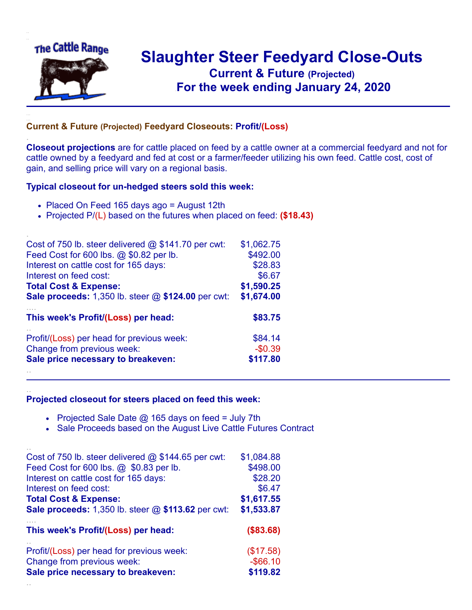

.

..

## **Slaughter Steer Feedyard Close-Outs Current & Future (Projected)** .**For the week ending January 24, 2020**

## **Current & Future (Projected) Feedyard Closeouts: Profit/(Loss)**

**Closeout projections** are for cattle placed on feed by a cattle owner at a commercial feedyard and not for cattle owned by a feedyard and fed at cost or a farmer/feeder utilizing his own feed. Cattle cost, cost of gain, and selling price will vary on a regional basis.

## **Typical closeout for un-hedged steers sold this week:**

- Placed On Feed 165 days ago = August 12th
- Projected P/(L) based on the futures when placed on feed: **(\$18.43)**

| Cost of 750 lb. steer delivered $@$ \$141.70 per cwt:       | \$1,062.75 |
|-------------------------------------------------------------|------------|
| Feed Cost for 600 lbs. @ \$0.82 per lb.                     | \$492.00   |
| Interest on cattle cost for 165 days:                       | \$28.83    |
| Interest on feed cost:                                      | \$6.67     |
| <b>Total Cost &amp; Expense:</b>                            | \$1,590.25 |
| <b>Sale proceeds:</b> 1,350 lb. steer $@$ \$124.00 per cwt: | \$1,674.00 |
| This week's Profit/(Loss) per head:                         | \$83.75    |
| Profit/(Loss) per head for previous week:                   | \$84.14    |
| Change from previous week:                                  | $-$0.39$   |
| Sale price necessary to breakeven:                          | \$117.80   |
|                                                             |            |

## **Projected closeout for steers placed on feed this week:**

- Projected Sale Date  $@$  165 days on feed = July 7th
- Sale Proceeds based on the August Live Cattle Futures Contract

| Cost of 750 lb. steer delivered $@$ \$144.65 per cwt:     | \$1,084.88  |
|-----------------------------------------------------------|-------------|
| Feed Cost for 600 lbs. @ \$0.83 per lb.                   | \$498.00    |
| Interest on cattle cost for 165 days:                     | \$28.20     |
| Interest on feed cost:                                    | \$6.47      |
| <b>Total Cost &amp; Expense:</b>                          | \$1,617.55  |
| <b>Sale proceeds:</b> 1,350 lb. steer @ \$113.62 per cwt: | \$1,533.87  |
| This week's Profit/(Loss) per head:                       | (\$83.68)   |
| Profit/(Loss) per head for previous week:                 | (\$17.58)   |
| Change from previous week:                                | $-$ \$66.10 |
| Sale price necessary to breakeven:                        | \$119.82    |
|                                                           |             |